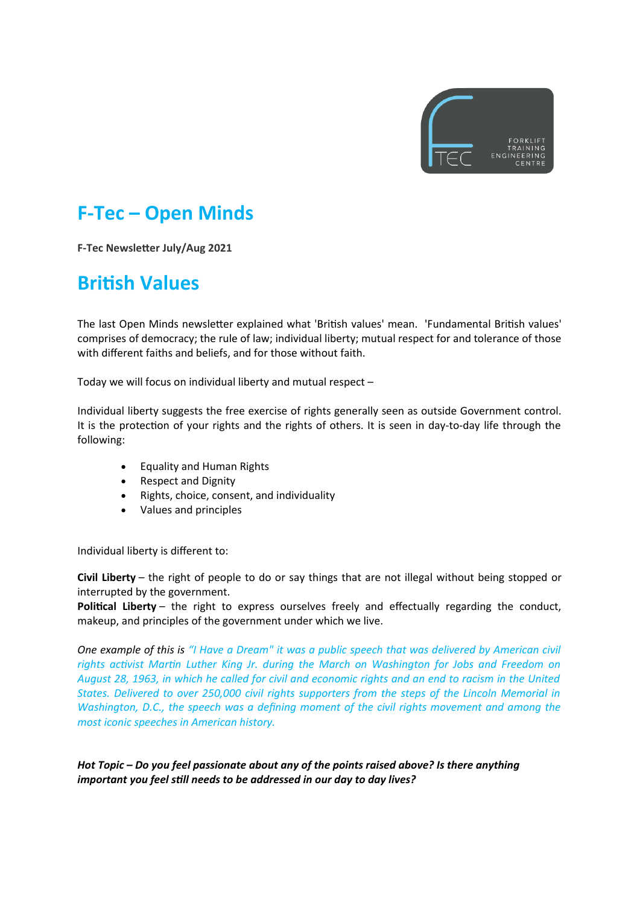

## **F-Tec – Open Minds**

**F-Tec Newsletter July/Aug 2021**

## **British Values**

The last Open Minds newsletter explained what 'British values' mean. 'Fundamental British values' comprises of democracy; the rule of law; individual liberty; mutual respect for and tolerance of those with different faiths and beliefs, and for those without faith.

Today we will focus on individual liberty and mutual respect –

Individual liberty suggests the free exercise of rights generally seen as outside Government control. It is the protection of your rights and the rights of others. It is seen in day-to-day life through the following:

- Equality and Human Rights
- Respect and Dignity
- Rights, choice, consent, and individuality
- Values and principles

Individual liberty is different to:

**Civil Liberty** – the right of people to do or say things that are not illegal without being stopped or interrupted by the government.

**Political Liberty** – the right to express ourselves freely and effectually regarding the conduct, makeup, and principles of the government under which we live.

*One example of this is "I Have a Dream" it was a public speech that was delivered by American civil rights activist Martin Luther King Jr. during the March on Washington for Jobs and Freedom on August 28, 1963, in which he called for civil and economic rights and an end to racism in the United States. Delivered to over 250,000 civil rights supporters from the steps of the Lincoln Memorial in Washington, D.C., the speech was a defining moment of the civil rights movement and among the most iconic speeches in American history.*

*Hot Topic – Do you feel passionate about any of the points raised above? Is there anything important you feel still needs to be addressed in our day to day lives?*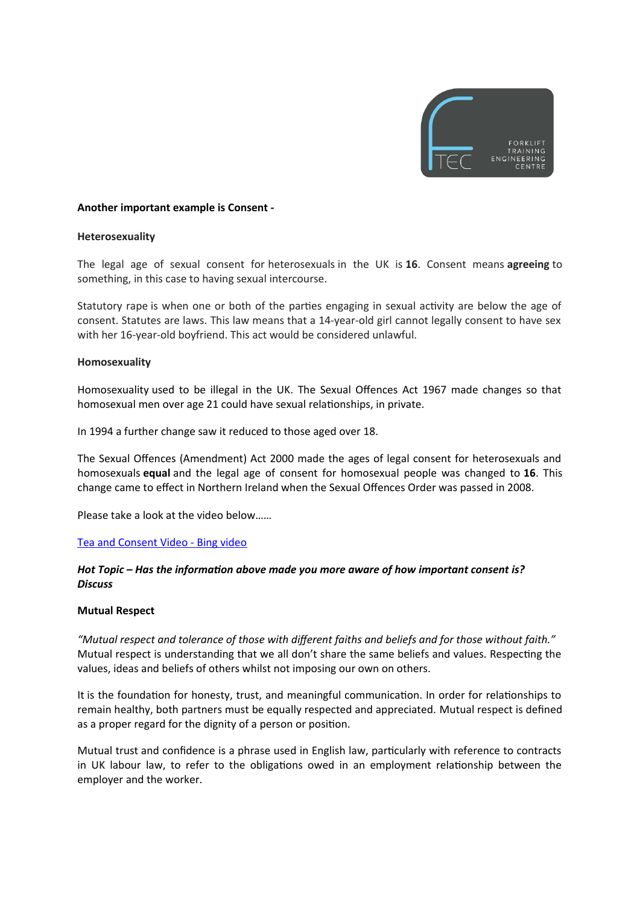

#### **Another important example is Consent -**

#### **Heterosexuality**

The legal age of sexual consent for heterosexuals in the UK is **16**. Consent means **agreeing** to something, in this case to having sexual intercourse.

Statutory rape is when one or both of the parties engaging in sexual activity are below the age of consent. Statutes are laws. This law means that a 14-year-old girl cannot legally consent to have sex with her 16-year-old boyfriend. This act would be considered unlawful.

#### **Homosexuality**

Homosexuality used to be illegal in the UK. The Sexual Offences Act 1967 made changes so that homosexual men over age 21 could have sexual relationships, in private.

In 1994 a further change saw it reduced to those aged over 18.

The Sexual Offences (Amendment) Act 2000 made the ages of legal consent for heterosexuals and homosexuals **equal** and the legal age of consent for homosexual people was changed to **16**. This change came to effect in Northern Ireland when the Sexual Offences Order was passed in 2008.

Please take a look at the video below……

#### [Tea and Consent Video - Bing video](https://www.bing.com/videos/search?q=videos+to+show+what+consent+means+tea&docid=607994866160061982&mid=2A53C84A80AA295A0A3D2A53C84A80AA295A0A3D&view=detail&FORM=VIRE)

#### *Hot Topic – Has the information above made you more aware of how important consent is? Discuss*

#### **Mutual Respect**

*"Mutual respect and tolerance of those with different faiths and beliefs and for those without faith."* Mutual respect is understanding that we all don't share the same beliefs and values. Respecting the values, ideas and beliefs of others whilst not imposing our own on others.

It is the foundation for honesty, trust, and meaningful communication. In order for relationships to remain healthy, both partners must be equally respected and appreciated. Mutual respect is defined as a proper regard for the dignity of a person or position.

Mutual trust and confidence is a phrase used in English law, particularly with reference to contracts in UK labour law, to refer to the obligations owed in an employment relationship between the employer and the worker.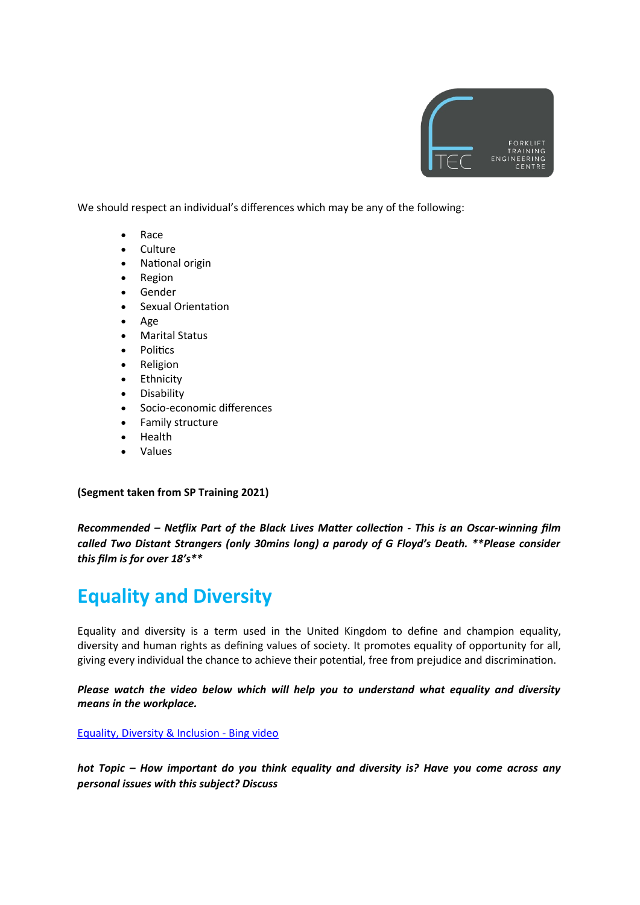

We should respect an individual's differences which may be any of the following:

- Race
- **Culture**
- National origin
- Region
- Gender
- Sexual Orientation
- Age
- Marital Status
- **Politics**
- Religion
- Ethnicity
- Disability
- Socio-economic differences
- Family structure
- Health
- Values

**(Segment taken from SP Training 2021)** 

*Recommended – Netflix Part of the Black Lives Matter collection - This is an Oscar-winning film called Two Distant Strangers (only 30mins long) a parody of G Floyd's Death. \*\*Please consider this film is for over 18's\*\** 

# **Equality and Diversity**

Equality and diversity is a term used in the United Kingdom to define and champion equality, diversity and human rights as defining values of society. It promotes equality of opportunity for all, giving every individual the chance to achieve their potential, free from prejudice and discrimination.

*Please watch the video below which will help you to understand what equality and diversity means in the workplace.* 

[Equality, Diversity & Inclusion - Bing video](https://www.bing.com/videos/search?q=equality+and+diversity+young+people+videos&ru=%2Fvideos%2Fsearch%3Fq%3Dequality%2Band%2Bdiversity%2Byoung%2Bpeople%2Bvideos%26FORM%3DVDRESM&view=detail&mid=52B266C1C5C839D5B16952B266C1C5C839D5B169&&FORM=VDRVRV)

*hot Topic – How important do you think equality and diversity is? Have you come across any personal issues with this subject? Discuss*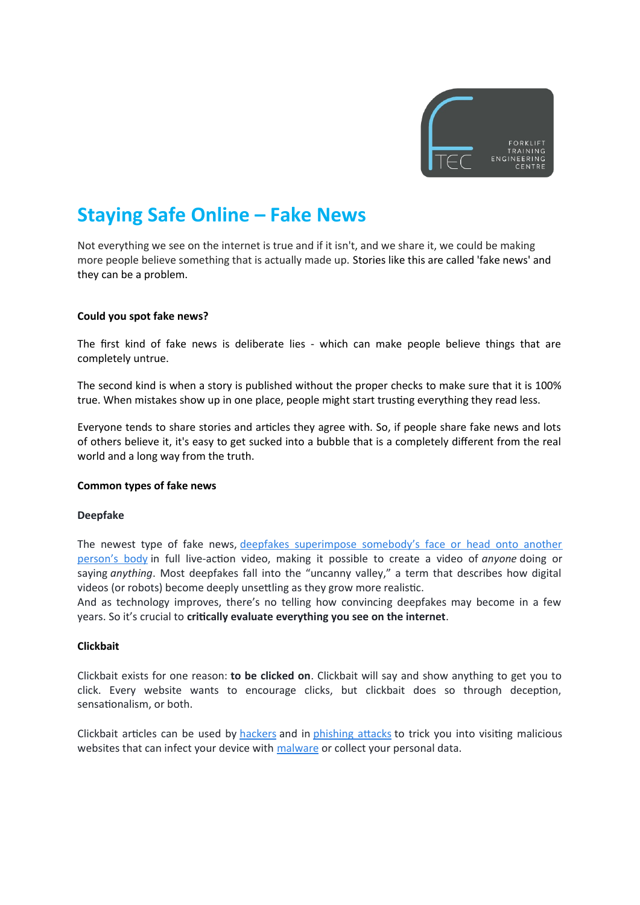

## **Staying Safe Online – Fake News**

Not everything we see on the internet is true and if it isn't, and we share it, we could be making more people believe something that is actually made up. Stories like this are called 'fake news' and they can be a problem.

#### **Could you spot fake news?**

The first kind of fake news is deliberate lies - which can make people believe things that are completely untrue.

The second kind is when a story is published without the proper checks to make sure that it is 100% true. When mistakes show up in one place, people might start trusting everything they read less.

Everyone tends to share stories and articles they agree with. So, if people share fake news and lots of others believe it, it's easy to get sucked into a bubble that is a completely different from the real world and a long way from the truth.

#### **Common types of fake news**

#### **Deepfake**

The newest type of fake news, [deepfakes superimpose somebody's face or head onto another](https://www.avg.com/en/signal/what-is-deepfake-video-and-how-to-spot-it) [person's body](https://www.avg.com/en/signal/what-is-deepfake-video-and-how-to-spot-it) in full live-action video, making it possible to create a video of *anyone* doing or saying *anything*. Most deepfakes fall into the "uncanny valley," a term that describes how digital videos (or robots) become deeply unsettling as they grow more realistic.

And as technology improves, there's no telling how convincing deepfakes may become in a few years. So it's crucial to **critically evaluate everything you see on the internet**.

#### **Clickbait**

Clickbait exists for one reason: **to be clicked on**. Clickbait will say and show anything to get you to click. Every website wants to encourage clicks, but clickbait does so through deception, sensationalism, or both.

Clickbait articles can be used by [hackers](https://www.avg.com/en/signal/what-is-hacking) and in [phishing attacks](https://www.avg.com/en/signal/what-is-phishing) to trick you into visiting malicious websites that can infect your device with [malware](https://www.avg.com/en/signal/what-is-malware) or collect your personal data.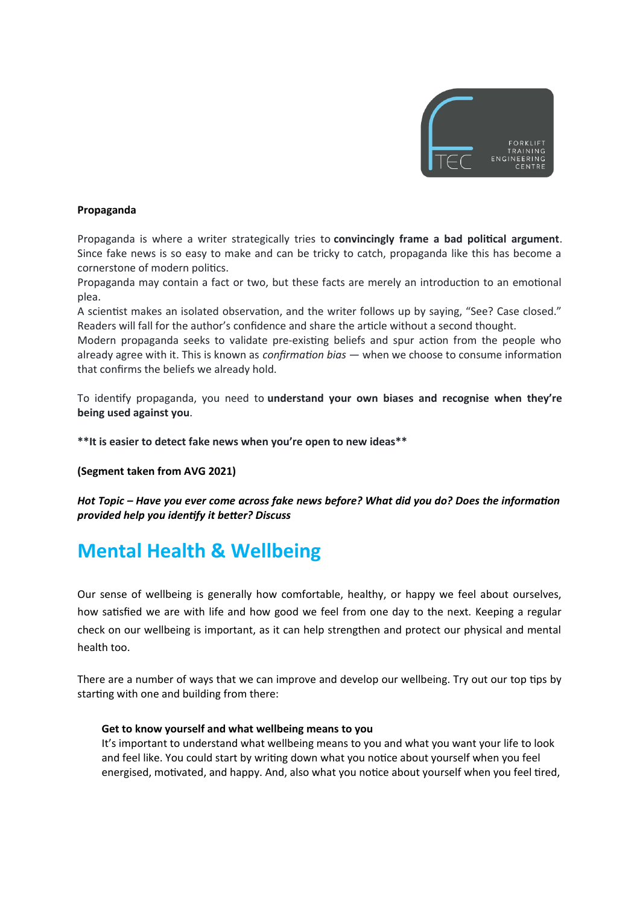

### **Propaganda**

Propaganda is where a writer strategically tries to **convincingly frame a bad political argument**. Since fake news is so easy to make and can be tricky to catch, propaganda like this has become a cornerstone of modern politics.

Propaganda may contain a fact or two, but these facts are merely an introduction to an emotional plea.

A scientist makes an isolated observation, and the writer follows up by saying, "See? Case closed." Readers will fall for the author's confidence and share the article without a second thought.

Modern propaganda seeks to validate pre-existing beliefs and spur action from the people who already agree with it. This is known as *confirmation bias* — when we choose to consume information that confirms the beliefs we already hold.

To identify propaganda, you need to **understand your own biases and recognise when they're being used against you**.

**\*\*It is easier to detect fake news when you're open to new ideas\*\***

**(Segment taken from AVG 2021)**

*Hot Topic – Have you ever come across fake news before? What did you do? Does the information provided help you identify it better? Discuss*

## **Mental Health & Wellbeing**

Our sense of wellbeing is generally how comfortable, healthy, or happy we feel about ourselves, how satisfied we are with life and how good we feel from one day to the next. Keeping a regular check on our wellbeing is important, as it can help strengthen and protect our physical and mental health too.

There are a number of ways that we can improve and develop our wellbeing. Try out our top tips by starting with one and building from there:

#### **Get to know yourself and what wellbeing means to you**

It's important to understand what wellbeing means to you and what you want your life to look and feel like. You could start by writing down what you notice about yourself when you feel energised, motivated, and happy. And, also what you notice about yourself when you feel tired,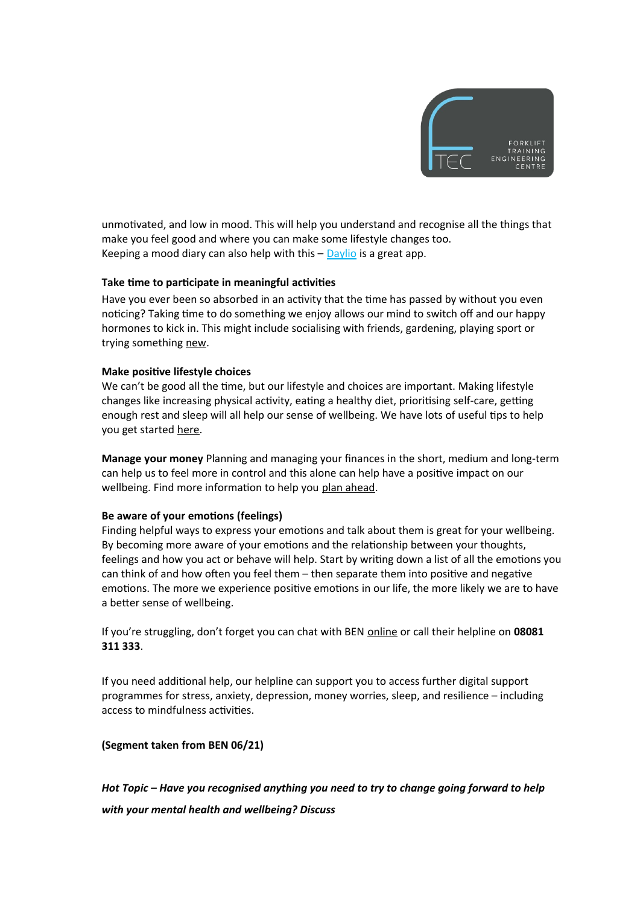

unmotivated, and low in mood. This will help you understand and recognise all the things that make you feel good and where you can make some lifestyle changes too. Keeping a mood diary can also help with this  $-\frac{\text{Daylio}}{\text{Di}}$  $-\frac{\text{Daylio}}{\text{Di}}$  $-\frac{\text{Daylio}}{\text{Di}}$  is a great app.

#### **Take time to participate in meaningful activities**

Have you ever been so absorbed in an activity that the time has passed by without you even noticing? Taking time to do something we enjoy allows our mind to switch off and our happy hormones to kick in. This might include socialising with friends, gardening, playing sport or trying something [new](https://ben.org.uk/our-services/health-and-wellbeing/coronavirus-help/working-from-home/keeping-busy/).

#### **Make positive lifestyle choices**

We can't be good all the time, but our lifestyle and choices are important. Making lifestyle changes like increasing physical activity, eating a healthy diet, prioritising self-care, getting enough rest and sleep will all help our sense of wellbeing. We have lots of useful tips to help you get started [here.](https://ben.org.uk/our-services/health-and-wellbeing/coronavirus-help/mens-health/physical-health/)

**Manage your money** Planning and managing your finances in the short, medium and long-term can help us to feel more in control and this alone can help have a positive impact on our wellbeing. Find more information to help you [plan ahead](https://ben.org.uk/our-services/health-and-wellbeing/coronavirus-help/coronavirus-and-your-money/planning-ahead/).

### **Be aware of your emotions (feelings)**

Finding helpful ways to express your emotions and talk about them is great for your wellbeing. By becoming more aware of your emotions and the relationship between your thoughts, feelings and how you act or behave will help. Start by writing down a list of all the emotions you can think of and how often you feel them – then separate them into positive and negative emotions. The more we experience positive emotions in our life, the more likely we are to have a better sense of wellbeing.

If you're struggling, don't forget you can chat with BEN [online](https://ben.org.uk/) or call their helpline on **08081 311 333**.

If you need additional help, our helpline can support you to access further digital support programmes for stress, anxiety, depression, money worries, sleep, and resilience – including access to mindfulness activities.

### **(Segment taken from BEN 06/21)**

*Hot Topic – Have you recognised anything you need to try to change going forward to help with your mental health and wellbeing? Discuss*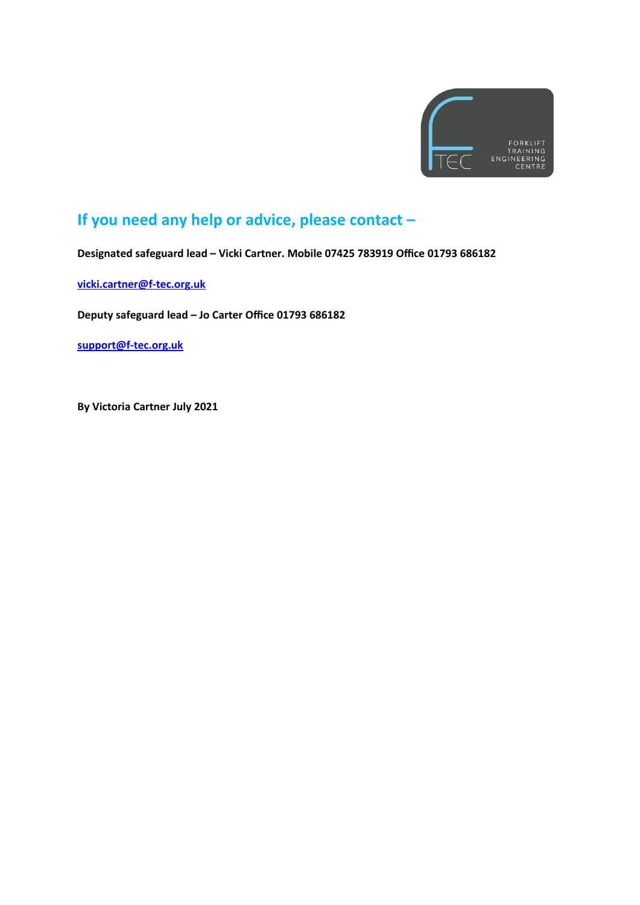

### **If you need any help or advice, please contact –**

**Designated safeguard lead – Vicki Cartner. Mobile 07425 783919 Office 01793 686182**

**[vicki.cartner@f-tec.org.uk](mailto:vicki.cartner@f-tec.org.uk)**

**Deputy safeguard lead – Jo Carter Office 01793 686182** 

**[support@f-tec.org.uk](mailto:support@f-tec.org.uk)**

**By Victoria Cartner July 2021**